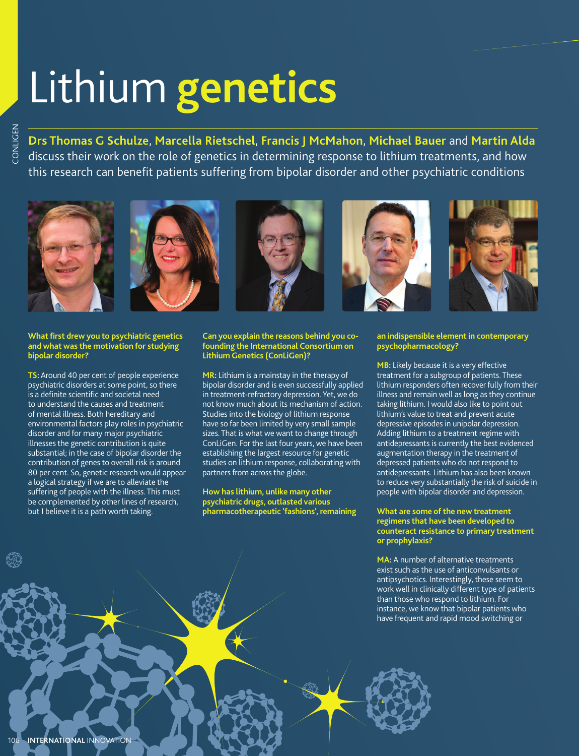# Lithium **genetics**

**Drs Thomas G Schulze**, **Marcella Rietschel**, **Francis J McMahon**, **Michael Bauer** and **Martin Alda**  discuss their work on the role of genetics in determining response to lithium treatments, and how this research can benefit patients suffering from bipolar disorder and other psychiatric conditions











#### **What first drew you to psychiatric genetics and what was the motivation for studying bipolar disorder?**

**TS:** Around 40 per cent of people experience psychiatric disorders at some point, so there is a definite scientific and societal need to understand the causes and treatment of mental illness. Both hereditary and environmental factors play roles in psychiatric disorder and for many major psychiatric illnesses the genetic contribution is quite substantial; in the case of bipolar disorder the contribution of genes to overall risk is around 80 per cent. So, genetic research would appear a logical strategy if we are to alleviate the suffering of people with the illness. This must be complemented by other lines of research, but I believe it is a path worth taking. Example 1<br>
International Control of this research can be<br>
this research can be the vort of original<br>
What first drew you to pychomate and the material of the material<br>
internation of the paychiatric disorder?<br>
TS: Around 4

#### **Can you explain the reasons behind you cofounding the International Consortium on Lithium Genetics (ConLiGen)?**

**MR:** Lithium is a mainstay in the therapy of bipolar disorder and is even successfully applied in treatment-refractory depression. Yet, we do not know much about its mechanism of action. Studies into the biology of lithium response have so far been limited by very small sample sizes. That is what we want to change through ConLiGen. For the last four years, we have been establishing the largest resource for genetic studies on lithium response, collaborating with partners from across the globe.

### **How has lithium, unlike many other psychiatric drugs, outlasted various pharmacotherapeutic 'fashions', remaining**

#### **an indispensible element in contemporary psychopharmacology?**

**MB:** Likely because it is a very effective treatment for a subgroup of patients. These lithium responders often recover fully from their illness and remain well as long as they continue taking lithium. I would also like to point out lithium's value to treat and prevent acute depressive episodes in unipolar depression. Adding lithium to a treatment regime with antidepressants is currently the best evidenced augmentation therapy in the treatment of depressed patients who do not respond to antidepressants. Lithium has also been known to reduce very substantially the risk of suicide in people with bipolar disorder and depression.

# **What are some of the new treatment regimens that have been developed to counteract resistance to primary treatment or prophylaxis?**

**MA:** A number of alternative treatments exist such as the use of anticonvulsants or antipsychotics. Interestingly, these seem to work well in clinically different type of patients than those who respond to lithium. For instance, we know that bipolar patients who have frequent and rapid mood switching or

**INTERNATIONAL INNOVATION** 106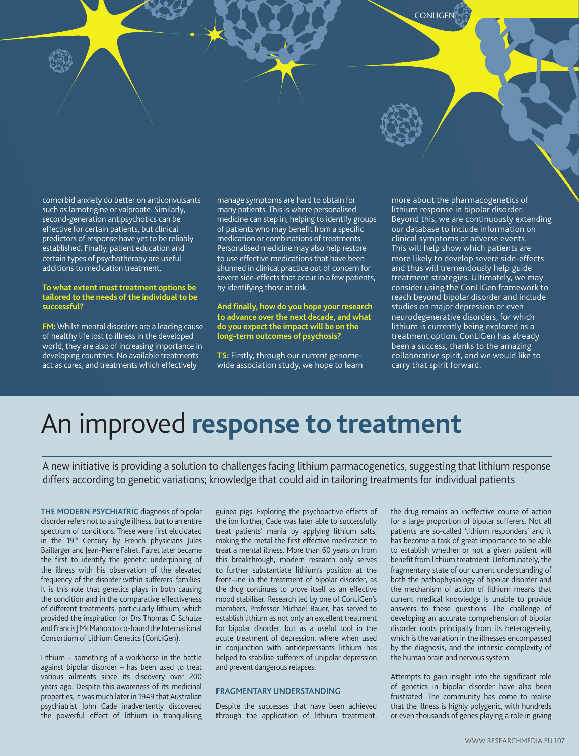comorbid anxiety do better on anticonvulsants such as lamotrigine or valproate. Similarly, second-generation antipsychotics can be effective for certain patients, but clinical predictors of response have yet to be reliably established. Finally, patient education and certain types of psychotherapy are useful additions to medication treatment.

#### **To what extent must treatment options be tailored to the needs of the individual to be successful?**

**FM:** Whilst mental disorders are a leading cause of healthy life lost to illness in the developed world, they are also of increasing importance in developing countries. No available treatments act as cures, and treatments which effectively

manage symptoms are hard to obtain for many patients. This is where personalised medicine can step in, helping to identify groups of patients who may benefit from a specific medication or combinations of treatments. Personalised medicine may also help restore to use effective medications that have been shunned in clinical practice out of concern for severe side-effects that occur in a few patients, by identifying those at risk.

**And finally, how do you hope your research to advance over the next decade, and what do you expect the impact will be on the long-term outcomes of psychosis?**

**TS:** Firstly, through our current genomewide association study, we hope to learn more about the pharmacogenetics of lithium response in bipolar disorder. Beyond this, we are continuously extending our database to include information on clinical symptoms or adverse events. This will help show which patients are more likely to develop severe side-effects and thus will tremendously help guide treatment strategies. Ultimately, we may consider using the ConLiGen framework to reach beyond bipolar disorder and include studies on major depression or even neurodegenerative disorders, for which lithium is currently being explored as a treatment option. ConLiGen has already been a success, thanks to the amazing collaborative spirit, and we would like to carry that spirit forward.

CONLIGEN

# An improved **response to treatment**

A new initiative is providing a solution to challenges facing lithium parmacogenetics, suggesting that lithium response differs according to genetic variations; knowledge that could aid in tailoring treatments for individual patients

**THE MODERN PSYCHIATRIC** diagnosis of bipolar disorder refers not to a single illness, but to an entire spectrum of conditions. These were first elucidated in the 19th Century by French physicians Jules Baillarger and Jean-Pierre Falret. Falret later became the first to identify the genetic underpinning of the illness with his observation of the elevated frequency of the disorder within sufferers' families. It is this role that genetics plays in both causing the condition and in the comparative effectiveness of different treatments, particularly lithium, which provided the inspiration for Drs Thomas G Schulze and Francis J McMahon to co-found the International Consortium of Lithium Genetics (ConLiGen).

Lithium – something of a workhorse in the battle against bipolar disorder – has been used to treat various ailments since its discovery over 200 years ago. Despite this awareness of its medicinal properties, it was much later in 1949 that Australian psychiatrist John Cade inadvertently discovered the powerful effect of lithium in tranquilising guinea pigs. Exploring the psychoactive effects of the ion further, Cade was later able to successfully treat patients' mania by applying lithium salts, making the metal the first effective medication to treat a mental illness. More than 60 years on from this breakthrough, modern research only serves to further substantiate lithium's position at the front-line in the treatment of bipolar disorder, as the drug continues to prove itself as an effective mood stabiliser. Research led by one of ConLiGen's members, Professor Michael Bauer, has served to establish lithium as not only an excellent treatment for bipolar disorder, but as a useful tool in the acute treatment of depression, where when used in conjunction with antidepressants lithium has helped to stabilise sufferers of unipolar depression and prevent dangerous relapses.

# **FRAGMENTARY UNDERSTANDING**

Despite the successes that have been achieved through the application of lithium treatment, the drug remains an ineffective course of action for a large proportion of bipolar sufferers. Not all patients are so-called 'lithium responders' and it has become a task of great importance to be able to establish whether or not a given patient will benefit from lithium treatment. Unfortunately, the fragmentary state of our current understanding of both the pathophysiology of bipolar disorder and the mechanism of action of lithium means that current medical knowledge is unable to provide answers to these questions. The challenge of developing an accurate comprehension of bipolar disorder roots principally from its heterogeneity, which is the variation in the illnesses encompassed by the diagnosis, and the intrinsic complexity of the human brain and nervous system.

Attempts to gain insight into the significant role of genetics in bipolar disorder have also been frustrated. The community has come to realise that the illness is highly polygenic, with hundreds or even thousands of genes playing a role in giving